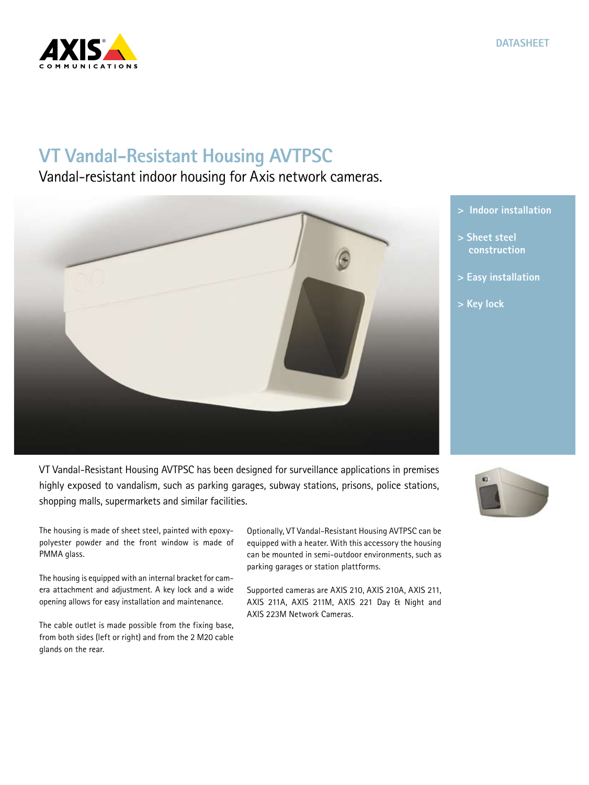

## **VT Vandal-Resistant Housing AVTPSC**

Vandal-resistant indoor housing for Axis network cameras.



VT Vandal-Resistant Housing AVTPSC has been designed for surveillance applications in premises highly exposed to vandalism, such as parking garages, subway stations, prisons, police stations, shopping malls, supermarkets and similar facilities.

The housing is made of sheet steel, painted with epoxypolyester powder and the front window is made of PMMA glass.

The housing is equipped with an internal bracket for camera attachment and adjustment. A key lock and a wide opening allows for easy installation and maintenance.

The cable outlet is made possible from the fixing base, from both sides (left or right) and from the 2 M20 cable glands on the rear.

Optionally, VT Vandal-Resistant Housing AVTPSC can be equipped with a heater. With this accessory the housing can be mounted in semi-outdoor environments, such as parking garages or station plattforms.

Supported cameras are AXIS 210, AXIS 210A, AXIS 211, AXIS 211A, AXIS 211M, AXIS 221 Day & Night and AXIS 223M Network Cameras.



- **> Sheet steel construction**
- **> Easy installation**
- **> Key lock**